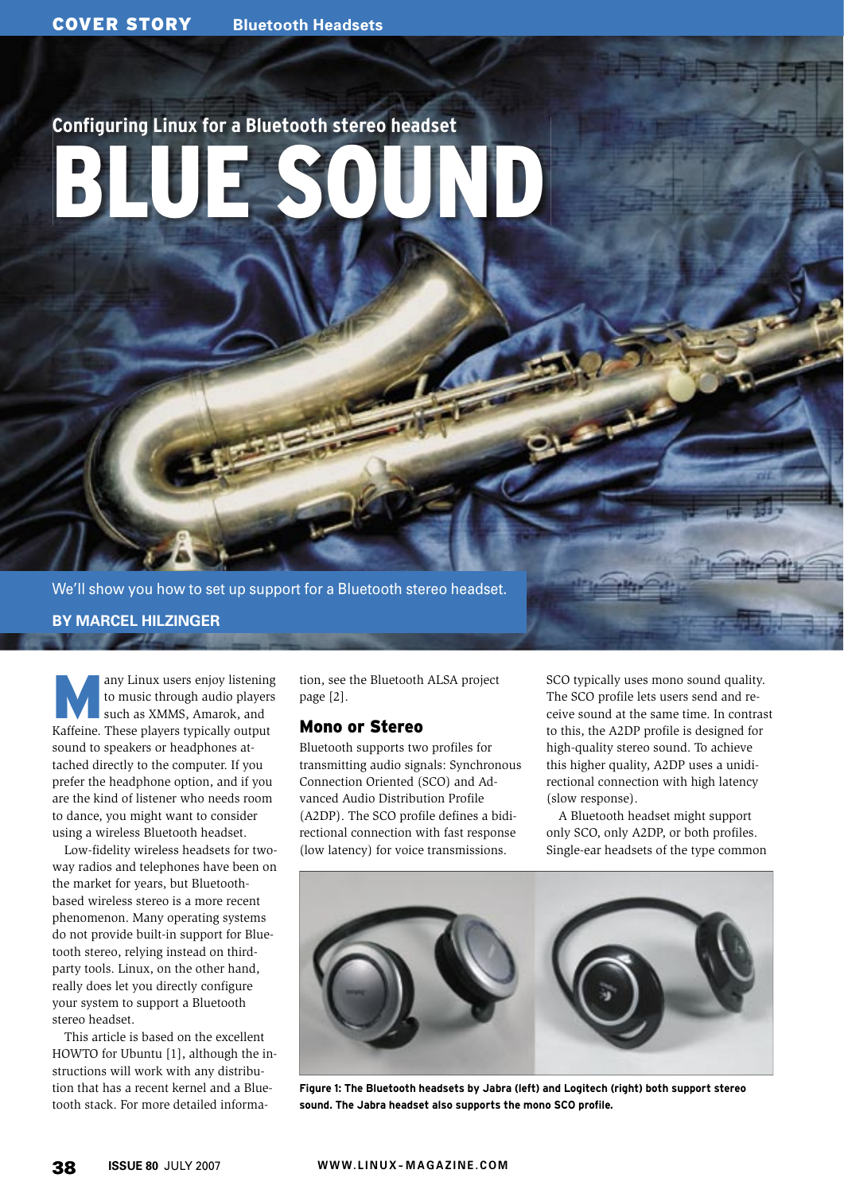# **Configuring Linux for a Bluetooth stereo headset** BLUE SOUND

We'll show you how to set up support for a Bluetooth stereo headset.

**BY MARCEL HILZINGER**

any Linux users enjoy listening<br>to music through audio players<br>such as XMMS, Amarok, and to music through audio players Kaffeine. These players typically output sound to speakers or headphones attached directly to the computer. If you prefer the headphone option, and if you are the kind of listener who needs room to dance, you might want to consider using a wireless Bluetooth headset.

Low-fidelity wireless headsets for twoway radios and telephones have been on the market for years, but Bluetoothbased wireless stereo is a more recent phenomenon. Many operating systems do not provide built-in support for Bluetooth stereo, relying instead on thirdparty tools. Linux, on the other hand, really does let you directly configure your system to support a Bluetooth stereo headset.

This article is based on the excellent HOWTO for Ubuntu [1], although the instructions will work with any distribution that has a recent kernel and a Bluetooth stack. For more detailed informa-

tion, see the Bluetooth ALSA project page [2].

# Mono or Stereo

Bluetooth supports two profiles for transmitting audio signals: Synchronous Connection Oriented (SCO) and Advanced Audio Distribution Profile (A2DP). The SCO profile defines a bidirectional connection with fast response (low latency) for voice transmissions.

SCO typically uses mono sound quality. The SCO profile lets users send and receive sound at the same time. In contrast to this, the A2DP profile is designed for high-quality stereo sound. To achieve this higher quality, A2DP uses a unidirectional connection with high latency (slow response).

A Bluetooth headset might support only SCO, only A2DP, or both profiles. Single-ear headsets of the type common



**Figure 1: The Bluetooth headsets by Jabra (left) and Logitech (right) both support stereo sound. The Jabra headset also supports the mono SCO profile.**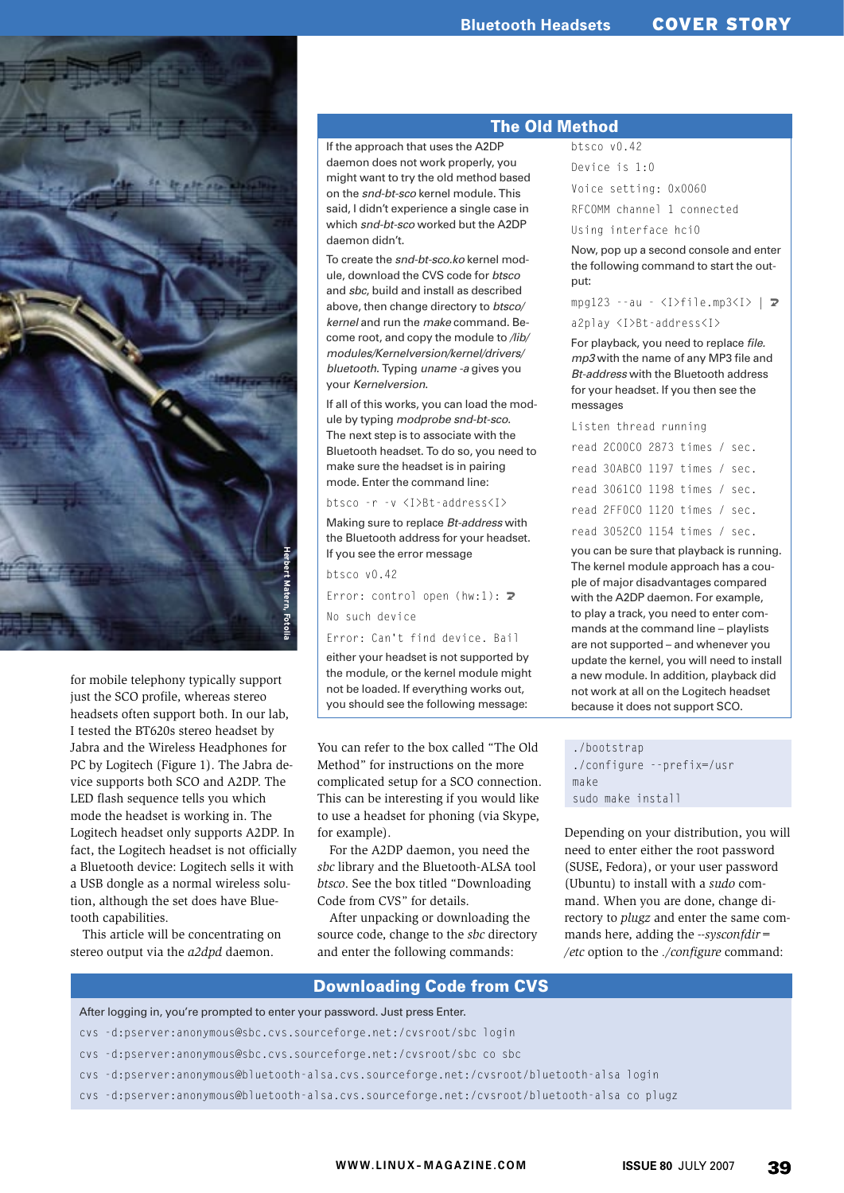

for mobile telephony typically support just the SCO profile, whereas stereo headsets often support both. In our lab, I tested the BT620s stereo headset by Jabra and the Wireless Headphones for PC by Logitech (Figure 1). The Jabra device supports both SCO and A2DP. The LED flash sequence tells you which mode the headset is working in. The Logitech headset only supports A2DP. In fact, the Logitech headset is not officially a Bluetooth device: Logitech sells it with a USB dongle as a normal wireless solution, although the set does have Bluetooth capabilities.

This article will be concentrating on stereo output via the *a2dpd* daemon.

#### The Old Method

If the approach that uses the A2DP daemon does not work properly, you might want to try the old method based on the snd-bt-sco kernel module. This said, I didn't experience a single case in which snd-bt-sco worked but the A2DP daemon didn't.

To create the snd-bt-sco.ko kernel module, download the CVS code for btsco and sbc, build and install as described above, then change directory to btsco/ kernel and run the make command. Become root, and copy the module to /lib/ modules/Kernelversion/kernel/drivers/ bluetooth. Typing uname -a gives you your Kernelversion.

If all of this works, you can load the module by typing modprobe snd-bt-sco. The next step is to associate with the Bluetooth headset. To do so, you need to make sure the headset is in pairing mode. Enter the command line:

#### btsco -r -v <I>Bt-address<I>

Making sure to replace Bt-address with the Bluetooth address for your headset. If you see the error message

btsco v0.42

Error: control open  $(hw:1)$ :  $\triangleright$ No such device

Error: Can't find device. Bail

either your headset is not supported by the module, or the kernel module might not be loaded. If everything works out, you should see the following message:

You can refer to the box called "The Old Method" for instructions on the more complicated setup for a SCO connection. This can be interesting if you would like to use a headset for phoning (via Skype, for example).

For the A2DP daemon, you need the *sbc* library and the Bluetooth-ALSA tool *btsco*. See the box titled "Downloading Code from CVS" for details.

After unpacking or downloading the source code, change to the *sbc* directory and enter the following commands:

```
btsco v0.42
Device is 1:0
```
Voice setting: 0x0060

RFCOMM channel 1 connected

Using interface hci0

Now, pop up a second console and enter the following command to start the output:

 $mpg123 - -au - *I* > filemp3<sup>*I*</sup> > | **Z**$ a2play <I>Bt-address<I>

For playback, you need to replace file. mp3 with the name of any MP3 file and **Bt-address with the Bluetooth address** for your headset. If you then see the messages

Listen thread running

| read 200000 2873 times / sec. |  |  |
|-------------------------------|--|--|
| read 30ABCO 1197 times / sec. |  |  |
| read 3061CO 1198 times / sec. |  |  |
| read 2FF0C0 1120 times / sec. |  |  |
| read 3052C0 1154 times / sec. |  |  |

you can be sure that playback is running. The kernel module approach has a couple of major disadvantages compared with the A2DP daemon. For example, to play a track, you need to enter commands at the command line – playlists are not supported – and whenever you update the kernel, you will need to install a new module. In addition, playback did not work at all on the Logitech headset because it does not support SCO.

./bootstrap ./configure --prefix=/usr make sudo make install

Depending on your distribution, you will need to enter either the root password (SUSE, Fedora), or your user password (Ubuntu) to install with a *sudo* command. When you are done, change directory to *plugz* and enter the same commands here, adding the *--sysconfdir= /etc* option to the *./configure* command:

#### Downloading Code from CVS

- cvs -d:pserver:anonymous@sbc.cvs.sourceforge.net:/cvsroot/sbc login
- cvs -d:pserver:anonymous@sbc.cvs.sourceforge.net:/cvsroot/sbc co sbc
- cvs -d:pserver:anonymous@bluetooth-alsa.cvs.sourceforge.net:/cvsroot/bluetooth-alsa login
- After logging in, you're prompted to enter your password. Just press Enter.<br>
cvs -d:pserver:anonymous@sbc.cvs.sourceforge.net:/cvsroot/sbc co sbc<br>
cvs -d:pserver:anonymous@bluetooth-alsa.cvs.sourceforge.net:/cvsroot/blueto cvs -d:pserver:anonymous@bluetooth-alsa.cvs.sourceforge.net:/cvsroot/bluetooth-alsa co plugz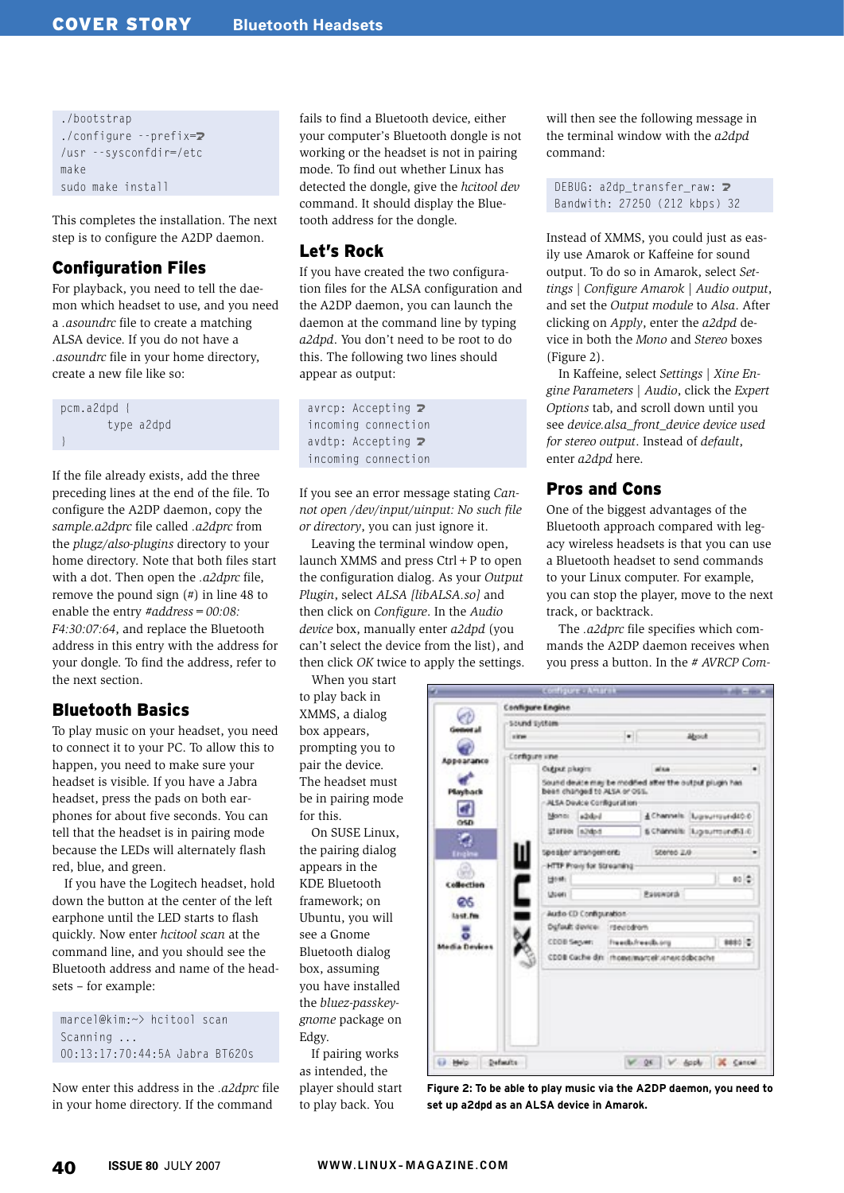```
./bootstrap
./configure --prefix=\mathbb{Z}/usr --sysconfdir=/etc
make
sudo make install
```
This completes the installation. The next step is to configure the A2DP daemon.

# Configuration Files

For playback, you need to tell the daemon which headset to use, and you need a *.asoundrc* file to create a matching ALSA device. If you do not have a *.asoundrc* file in your home directory, create a new file like so:

pcm.a2dpd { type a2dpd }

If the file already exists, add the three preceding lines at the end of the file. To configure the A2DP daemon, copy the *sample.a2dprc* file called *.a2dprc* from the *plugz/also-plugins* directory to your home directory. Note that both files start with a dot. Then open the *.a2dprc* file, remove the pound sign (#) in line 48 to enable the entry *#address=00:08: F4:30:07:64*, and replace the Bluetooth address in this entry with the address for your dongle. To find the address, refer to the next section.

# Bluetooth Basics

To play music on your headset, you need to connect it to your PC. To allow this to happen, you need to make sure your headset is visible. If you have a Jabra headset, press the pads on both earphones for about five seconds. You can tell that the headset is in pairing mode because the LEDs will alternately flash red, blue, and green.

If you have the Logitech headset, hold down the button at the center of the left earphone until the LED starts to flash quickly. Now enter *hcitool scan* at the command line, and you should see the Bluetooth address and name of the headsets – for example:

marcel@kim:~> hcitool scan Scanning ... 00:13:17:70:44:5A Jabra BT620s

Now enter this address in the *.a2dprc* file in your home directory. If the command

fails to find a Bluetooth device, either your computer's Bluetooth dongle is not working or the headset is not in pairing mode. To find out whether Linux has detected the dongle, give the *hcitool dev* command. It should display the Bluetooth address for the dongle.

# Let's Rock

If you have created the two configuration files for the ALSA configuration and the A2DP daemon, you can launch the daemon at the command line by typing *a2dpd*. You don't need to be root to do this. The following two lines should appear as output:

```
avrcp: Accepting \mathbb{Z}incoming connection
avdtp: Accepting \mathbf{z}incoming connection
```
If you see an error message stating *Cannot open /dev/ input/ uinput: No such file or directory*, you can just ignore it.

Leaving the terminal window open, launch XMMS and press  $Ctrl + P$  to open the configuration dialog. As your *Output Plugin*, select *ALSA [libALSA.so]* and then click on *Configure*. In the *Audio device* box, manually enter *a2dpd* (you can't select the device from the list), and then click *OK* twice to apply the settings.

 $\blacksquare$ 

When you start to play back in XMMS, a dialog box appears, prompting you to pair the device. The headset must be in pairing mode for this.

On SUSE Linux, the pairing dialog appears in the KDE Bluetooth framework; on Ubuntu, you will see a Gnome Bluetooth dialog box, assuming you have installed the *bluez-passkeygnome* package on Edgy.

If pairing works as intended, the player should start to play back. You

will then see the following message in the terminal window with the *a2dpd* command:

DEBUG: a2dp transfer raw:  $\triangleright$ Bandwith: 27250 (212 kbps) 32

Instead of XMMS, you could just as easily use Amarok or Kaffeine for sound output. To do so in Amarok, select *Settings* | *Configure Amarok* | *Audio output*, and set the *Output module* to *Alsa*. After clicking on *Apply*, enter the *a2dpd* device in both the *Mono* and *Stereo* boxes (Figure 2).

In Kaffeine, select *Settings* | *Xine Engine Parameters* | *Audio*, click the *Expert Options* tab, and scroll down until you see *device.alsa\_front\_device device used for stereo output*. Instead of *default*, enter *a2dpd* here.

#### Pros and Cons

One of the biggest advantages of the Bluetooth approach compared with legacy wireless headsets is that you can use a Bluetooth headset to send commands to your Linux computer. For example, you can stop the player, move to the next track, or backtrack.

The *.a2dprc* file specifies which commands the A2DP daemon receives when you press a button. In the *# AVRCP Com-*

|               | Sound System              |                                                                                                                        |                  |                                            |                              |  |  |
|---------------|---------------------------|------------------------------------------------------------------------------------------------------------------------|------------------|--------------------------------------------|------------------------------|--|--|
|               | <b><i><u>STAR</u></i></b> |                                                                                                                        | $\bullet$        | <b>About</b>                               |                              |  |  |
|               | Configure une             |                                                                                                                        |                  |                                            |                              |  |  |
| Appearance    |                           | Culture pluging                                                                                                        |                  | alsa.                                      | ٠                            |  |  |
| Playback      |                           | Sound deuto may be modified after the output plugin has<br>been changed to ALSA or OSS.<br>- ALSA Device Configuration |                  |                                            |                              |  |  |
|               |                           | added<br>Monto:                                                                                                        |                  |                                            | & Channels (Lupsurround40.0) |  |  |
| OSD.          |                           | Staroon InJidoot                                                                                                       |                  |                                            | 6 Channels: Ligitumord51/0   |  |  |
| Engine        |                           | Speaber arrangement:                                                                                                   |                  | Stereo 2.0                                 |                              |  |  |
| Collection    |                           | HTTP Provy for Streaming<br>Host:                                                                                      |                  |                                            | eo (d)                       |  |  |
| Ø6            | ׆                         | Librari                                                                                                                |                  | Posswords                                  |                              |  |  |
| Lyst.fm       |                           | Autho CD Configuration                                                                                                 |                  |                                            |                              |  |  |
|               |                           | Default device                                                                                                         | irsecolony       |                                            |                              |  |  |
| Media Devices |                           | CODB Server:                                                                                                           | Freeds/reads.org |                                            | 9890 0                       |  |  |
|               |                           |                                                                                                                        |                  | CDDB Cache din incentimarcel Anextddbcache |                              |  |  |
|               |                           |                                                                                                                        |                  |                                            |                              |  |  |
|               |                           |                                                                                                                        |                  |                                            |                              |  |  |
|               |                           |                                                                                                                        |                  |                                            |                              |  |  |

**Figure 2: To be able to play music via the A2DP daemon, you need to set up a2dpd as an ALSA device in Amarok.**